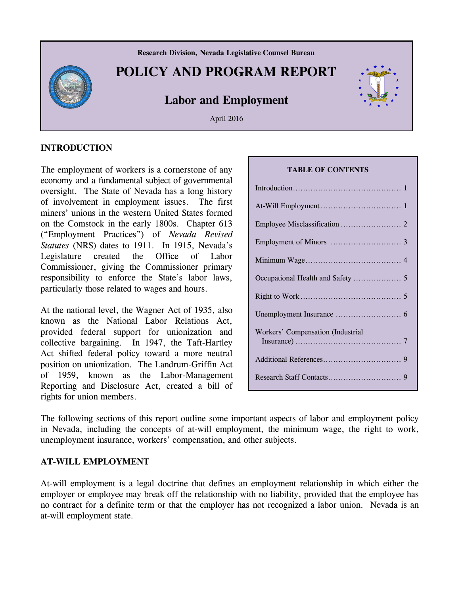

#### **INTRODUCTION**

The employment of workers is a cornerstone of any economy and a fundamental subject of governmental oversight. The State of Nevada has a long history of involvement in employment issues. The first miners' unions in the western United States formed on the Comstock in the early 1800s. Chapter 613 ("Employment Practices") of *Nevada Revised Statutes* (NRS) dates to 1911. In 1915, Nevada's Legislature created the Office of Labor Commissioner, giving the Commissioner primary responsibility to enforce the State's labor laws, particularly those related to wages and hours.

At the national level, the Wagner Act of 1935, also known as the National Labor Relations Act, provided federal support for unionization and collective bargaining. In 1947, the Taft-Hartley Act shifted federal policy toward a more neutral position on unionization. The Landrum-Griffin Act of 1959, known as the Labor-Management Reporting and Disclosure Act, created a bill of rights for union members.

#### **TABLE OF CONTENTS**

| Workers' Compensation (Industrial |
|-----------------------------------|
|                                   |

The following sections of this report outline some important aspects of labor and employment policy in Nevada, including the concepts of at-will employment, the minimum wage, the right to work, unemployment insurance, workers' compensation, and other subjects.

#### **AT-WILL EMPLOYMENT**

At-will employment is a legal doctrine that defines an employment relationship in which either the employer or employee may break off the relationship with no liability, provided that the employee has no contract for a definite term or that the employer has not recognized a labor union. Nevada is an at-will employment state.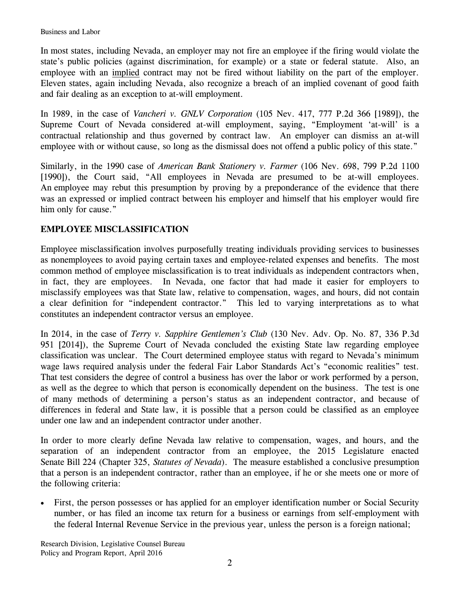In most states, including Nevada, an employer may not fire an employee if the firing would violate the state's public policies (against discrimination, for example) or a state or federal statute. Also, an employee with an implied contract may not be fired without liability on the part of the employer. Eleven states, again including Nevada, also recognize a breach of an implied covenant of good faith and fair dealing as an exception to at-will employment.

In 1989, in the case of *Vancheri v. GNLV Corporation* (105 Nev. 417, 777 P.2d 366 [1989]), the Supreme Court of Nevada considered at-will employment, saying, "Employment 'at-will' is a contractual relationship and thus governed by contract law. An employer can dismiss an at-will employee with or without cause, so long as the dismissal does not offend a public policy of this state."

Similarly, in the 1990 case of *American Bank Stationery v. Farmer* (106 Nev. 698, 799 P.2d 1100 [1990]), the Court said, "All employees in Nevada are presumed to be at-will employees. An employee may rebut this presumption by proving by a preponderance of the evidence that there was an expressed or implied contract between his employer and himself that his employer would fire him only for cause."

# **EMPLOYEE MISCLASSIFICATION**

Employee misclassification involves purposefully treating individuals providing services to businesses as nonemployees to avoid paying certain taxes and employee-related expenses and benefits. The most common method of employee misclassification is to treat individuals as independent contractors when, in fact, they are employees. In Nevada, one factor that had made it easier for employers to misclassify employees was that State law, relative to compensation, wages, and hours, did not contain a clear definition for "independent contractor." This led to varying interpretations as to what constitutes an independent contractor versus an employee.

In 2014, in the case of *Terry v. Sapphire Gentlemen's Club* (130 Nev. Adv. Op. No. 87, 336 P.3d 951 [2014]), the Supreme Court of Nevada concluded the existing State law regarding employee classification was unclear. The Court determined employee status with regard to Nevada's minimum wage laws required analysis under the federal Fair Labor Standards Act's "economic realities" test. That test considers the degree of control a business has over the labor or work performed by a person, as well as the degree to which that person is economically dependent on the business. The test is one of many methods of determining a person's status as an independent contractor, and because of differences in federal and State law, it is possible that a person could be classified as an employee under one law and an independent contractor under another.

In order to more clearly define Nevada law relative to compensation, wages, and hours, and the separation of an independent contractor from an employee, the 2015 Legislature enacted Senate Bill 224 (Chapter 325, *Statutes of Nevada*). The measure established a conclusive presumption that a person is an independent contractor, rather than an employee, if he or she meets one or more of the following criteria:

 First, the person possesses or has applied for an employer identification number or Social Security number, or has filed an income tax return for a business or earnings from self-employment with the federal Internal Revenue Service in the previous year, unless the person is a foreign national;

Research Division, Legislative Counsel Bureau Policy and Program Report, April 2016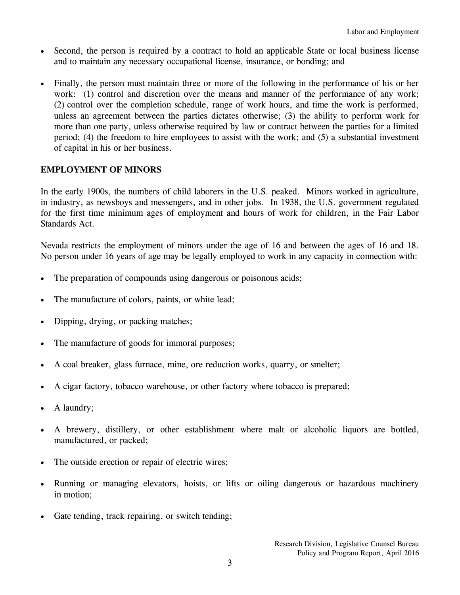- Second, the person is required by a contract to hold an applicable State or local business license and to maintain any necessary occupational license, insurance, or bonding; and
- Finally, the person must maintain three or more of the following in the performance of his or her work: (1) control and discretion over the means and manner of the performance of any work; (2) control over the completion schedule, range of work hours, and time the work is performed, unless an agreement between the parties dictates otherwise; (3) the ability to perform work for more than one party, unless otherwise required by law or contract between the parties for a limited period; (4) the freedom to hire employees to assist with the work; and (5) a substantial investment of capital in his or her business.

# **EMPLOYMENT OF MINORS**

In the early 1900s, the numbers of child laborers in the U.S. peaked. Minors worked in agriculture, in industry, as newsboys and messengers, and in other jobs. In 1938, the U.S. government regulated for the first time minimum ages of employment and hours of work for children, in the Fair Labor Standards Act.

Nevada restricts the employment of minors under the age of 16 and between the ages of 16 and 18. No person under 16 years of age may be legally employed to work in any capacity in connection with:

- The preparation of compounds using dangerous or poisonous acids;
- The manufacture of colors, paints, or white lead;
- Dipping, drying, or packing matches;
- The manufacture of goods for immoral purposes;
- A coal breaker, glass furnace, mine, ore reduction works, quarry, or smelter;
- A cigar factory, tobacco warehouse, or other factory where tobacco is prepared;
- A laundry;
- A brewery, distillery, or other establishment where malt or alcoholic liquors are bottled, manufactured, or packed;
- The outside erection or repair of electric wires;
- Running or managing elevators, hoists, or lifts or oiling dangerous or hazardous machinery in motion;
- Gate tending, track repairing, or switch tending;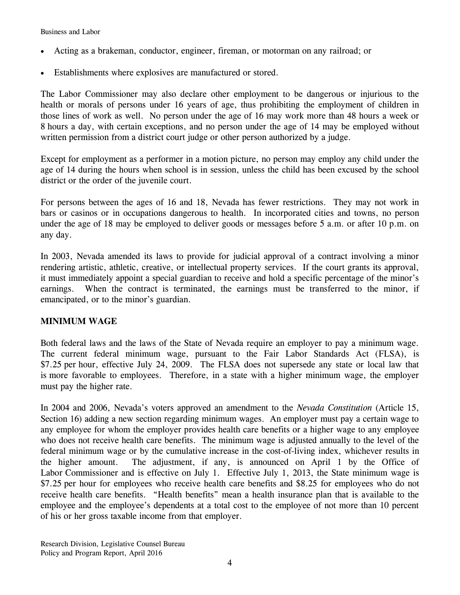Business and Labor

- Acting as a brakeman, conductor, engineer, fireman, or motorman on any railroad; or
- Establishments where explosives are manufactured or stored.

The Labor Commissioner may also declare other employment to be dangerous or injurious to the health or morals of persons under 16 years of age, thus prohibiting the employment of children in those lines of work as well. No person under the age of 16 may work more than 48 hours a week or 8 hours a day, with certain exceptions, and no person under the age of 14 may be employed without written permission from a district court judge or other person authorized by a judge.

Except for employment as a performer in a motion picture, no person may employ any child under the age of 14 during the hours when school is in session, unless the child has been excused by the school district or the order of the juvenile court.

For persons between the ages of 16 and 18, Nevada has fewer restrictions. They may not work in bars or casinos or in occupations dangerous to health. In incorporated cities and towns, no person under the age of 18 may be employed to deliver goods or messages before 5 a.m. or after 10 p.m. on any day.

In 2003, Nevada amended its laws to provide for judicial approval of a contract involving a minor rendering artistic, athletic, creative, or intellectual property services. If the court grants its approval, it must immediately appoint a special guardian to receive and hold a specific percentage of the minor's earnings. When the contract is terminated, the earnings must be transferred to the minor, if emancipated, or to the minor's guardian.

### **MINIMUM WAGE**

Both federal laws and the laws of the State of Nevada require an employer to pay a minimum wage. The current federal minimum wage, pursuant to the Fair Labor Standards Act (FLSA), is \$7.25 per hour, effective July 24, 2009. The FLSA does not supersede any state or local law that is more favorable to employees. Therefore, in a state with a higher minimum wage, the employer must pay the higher rate.

In 2004 and 2006, Nevada's voters approved an amendment to the *Nevada Constitution* (Article 15, Section 16) adding a new section regarding minimum wages. An employer must pay a certain wage to any employee for whom the employer provides health care benefits or a higher wage to any employee who does not receive health care benefits. The minimum wage is adjusted annually to the level of the federal minimum wage or by the cumulative increase in the cost-of-living index, whichever results in the higher amount. The adjustment, if any, is announced on April 1 by the Office of Labor Commissioner and is effective on July 1. Effective July 1, 2013, the State minimum wage is \$7.25 per hour for employees who receive health care benefits and \$8.25 for employees who do not receive health care benefits. "Health benefits" mean a health insurance plan that is available to the employee and the employee's dependents at a total cost to the employee of not more than 10 percent of his or her gross taxable income from that employer.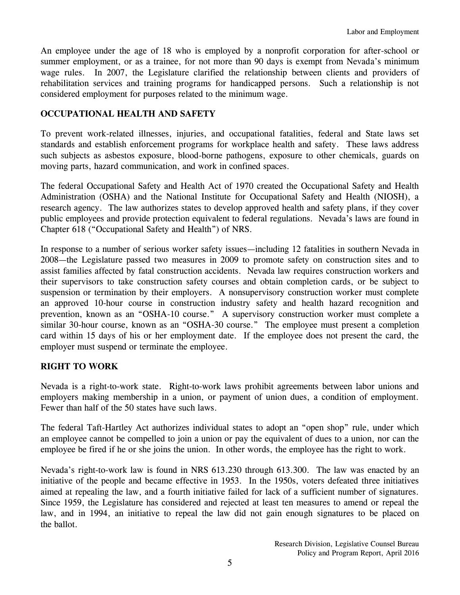An employee under the age of 18 who is employed by a nonprofit corporation for after-school or summer employment, or as a trainee, for not more than 90 days is exempt from Nevada's minimum wage rules. In 2007, the Legislature clarified the relationship between clients and providers of rehabilitation services and training programs for handicapped persons. Such a relationship is not considered employment for purposes related to the minimum wage.

# **OCCUPATIONAL HEALTH AND SAFETY**

To prevent work-related illnesses, injuries, and occupational fatalities, federal and State laws set standards and establish enforcement programs for workplace health and safety. These laws address such subjects as asbestos exposure, blood-borne pathogens, exposure to other chemicals, guards on moving parts, hazard communication, and work in confined spaces.

The federal Occupational Safety and Health Act of 1970 created the Occupational Safety and Health Administration (OSHA) and the National Institute for Occupational Safety and Health (NIOSH), a research agency. The law authorizes states to develop approved health and safety plans, if they cover public employees and provide protection equivalent to federal regulations. Nevada's laws are found in Chapter 618 ("Occupational Safety and Health") of NRS.

In response to a number of serious worker safety issues—including 12 fatalities in southern Nevada in 2008—the Legislature passed two measures in 2009 to promote safety on construction sites and to assist families affected by fatal construction accidents. Nevada law requires construction workers and their supervisors to take construction safety courses and obtain completion cards, or be subject to suspension or termination by their employers. A nonsupervisory construction worker must complete an approved 10-hour course in construction industry safety and health hazard recognition and prevention, known as an "OSHA-10 course." A supervisory construction worker must complete a similar 30-hour course, known as an "OSHA-30 course." The employee must present a completion card within 15 days of his or her employment date. If the employee does not present the card, the employer must suspend or terminate the employee.

### **RIGHT TO WORK**

Nevada is a right-to-work state. Right-to-work laws prohibit agreements between labor unions and employers making membership in a union, or payment of union dues, a condition of employment. Fewer than half of the 50 states have such laws.

The federal Taft-Hartley Act authorizes individual states to adopt an "open shop" rule, under which an employee cannot be compelled to join a union or pay the equivalent of dues to a union, nor can the employee be fired if he or she joins the union. In other words, the employee has the right to work.

Nevada's right-to-work law is found in NRS 613.230 through 613.300. The law was enacted by an initiative of the people and became effective in 1953. In the 1950s, voters defeated three initiatives aimed at repealing the law, and a fourth initiative failed for lack of a sufficient number of signatures. Since 1959, the Legislature has considered and rejected at least ten measures to amend or repeal the law, and in 1994, an initiative to repeal the law did not gain enough signatures to be placed on the ballot.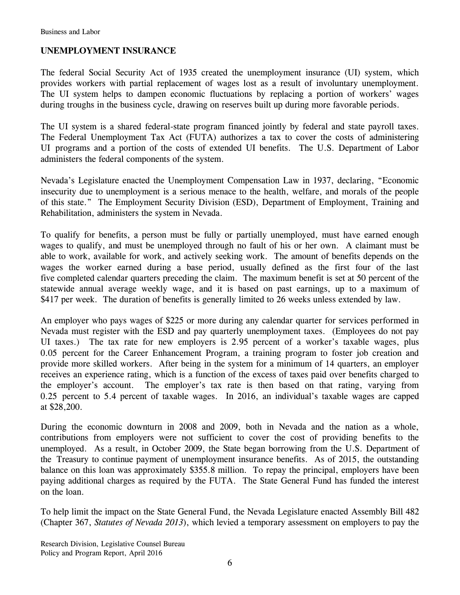# **UNEMPLOYMENT INSURANCE**

The federal Social Security Act of 1935 created the unemployment insurance (UI) system, which provides workers with partial replacement of wages lost as a result of involuntary unemployment. The UI system helps to dampen economic fluctuations by replacing a portion of workers' wages during troughs in the business cycle, drawing on reserves built up during more favorable periods.

The UI system is a shared federal-state program financed jointly by federal and state payroll taxes. The Federal Unemployment Tax Act (FUTA) authorizes a tax to cover the costs of administering UI programs and a portion of the costs of extended UI benefits. The U.S. Department of Labor administers the federal components of the system.

Nevada's Legislature enacted the Unemployment Compensation Law in 1937, declaring, "Economic insecurity due to unemployment is a serious menace to the health, welfare, and morals of the people of this state." The Employment Security Division (ESD), Department of Employment, Training and Rehabilitation, administers the system in Nevada.

To qualify for benefits, a person must be fully or partially unemployed, must have earned enough wages to qualify, and must be unemployed through no fault of his or her own. A claimant must be able to work, available for work, and actively seeking work. The amount of benefits depends on the wages the worker earned during a base period, usually defined as the first four of the last five completed calendar quarters preceding the claim. The maximum benefit is set at 50 percent of the statewide annual average weekly wage, and it is based on past earnings, up to a maximum of \$417 per week. The duration of benefits is generally limited to 26 weeks unless extended by law.

An employer who pays wages of \$225 or more during any calendar quarter for services performed in Nevada must register with the ESD and pay quarterly unemployment taxes. (Employees do not pay UI taxes.) The tax rate for new employers is 2.95 percent of a worker's taxable wages, plus 0.05 percent for the Career Enhancement Program, a training program to foster job creation and provide more skilled workers. After being in the system for a minimum of 14 quarters, an employer receives an experience rating, which is a function of the excess of taxes paid over benefits charged to the employer's account. The employer's tax rate is then based on that rating, varying from 0.25 percent to 5.4 percent of taxable wages. In 2016, an individual's taxable wages are capped at \$28,200.

During the economic downturn in 2008 and 2009, both in Nevada and the nation as a whole, contributions from employers were not sufficient to cover the cost of providing benefits to the unemployed. As a result, in October 2009, the State began borrowing from the U.S. Department of the Treasury to continue payment of unemployment insurance benefits. As of 2015, the outstanding balance on this loan was approximately \$355.8 million. To repay the principal, employers have been paying additional charges as required by the FUTA. The State General Fund has funded the interest on the loan.

To help limit the impact on the State General Fund, the Nevada Legislature enacted Assembly Bill 482 (Chapter 367, *Statutes of Nevada 2013*), which levied a temporary assessment on employers to pay the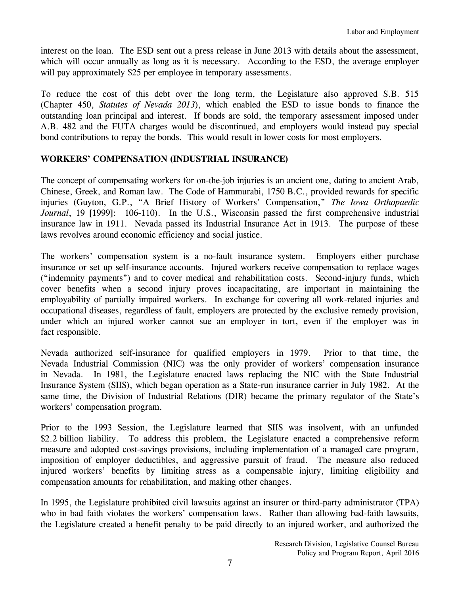interest on the loan. The ESD sent out a press release in June 2013 with details about the assessment, which will occur annually as long as it is necessary. According to the ESD, the average employer will pay approximately \$25 per employee in temporary assessments.

To reduce the cost of this debt over the long term, the Legislature also approved S.B. 515 (Chapter 450, *Statutes of Nevada 2013*), which enabled the ESD to issue bonds to finance the outstanding loan principal and interest. If bonds are sold, the temporary assessment imposed under A.B. 482 and the FUTA charges would be discontinued, and employers would instead pay special bond contributions to repay the bonds. This would result in lower costs for most employers.

### **WORKERS' COMPENSATION (INDUSTRIAL INSURANCE)**

The concept of compensating workers for on-the-job injuries is an ancient one, dating to ancient Arab, Chinese, Greek, and Roman law. The Code of Hammurabi, 1750 B.C., provided rewards for specific injuries (Guyton, G.P., "A Brief History of Workers' Compensation," *The Iowa Orthopaedic Journal*, 19 [1999]: 106-110). In the U.S., Wisconsin passed the first comprehensive industrial insurance law in 1911. Nevada passed its Industrial Insurance Act in 1913. The purpose of these laws revolves around economic efficiency and social justice.

The workers' compensation system is a no-fault insurance system. Employers either purchase insurance or set up self-insurance accounts. Injured workers receive compensation to replace wages ("indemnity payments") and to cover medical and rehabilitation costs. Second-injury funds, which cover benefits when a second injury proves incapacitating, are important in maintaining the employability of partially impaired workers. In exchange for covering all work-related injuries and occupational diseases, regardless of fault, employers are protected by the exclusive remedy provision, under which an injured worker cannot sue an employer in tort, even if the employer was in fact responsible.

Nevada authorized self-insurance for qualified employers in 1979. Prior to that time, the Nevada Industrial Commission (NIC) was the only provider of workers' compensation insurance in Nevada. In 1981, the Legislature enacted laws replacing the NIC with the State Industrial Insurance System (SIIS), which began operation as a State-run insurance carrier in July 1982. At the same time, the Division of Industrial Relations (DIR) became the primary regulator of the State's workers' compensation program.

Prior to the 1993 Session, the Legislature learned that SIIS was insolvent, with an unfunded \$2.2 billion liability. To address this problem, the Legislature enacted a comprehensive reform measure and adopted cost-savings provisions, including implementation of a managed care program, imposition of employer deductibles, and aggressive pursuit of fraud. The measure also reduced injured workers' benefits by limiting stress as a compensable injury, limiting eligibility and compensation amounts for rehabilitation, and making other changes.

In 1995, the Legislature prohibited civil lawsuits against an insurer or third-party administrator (TPA) who in bad faith violates the workers' compensation laws. Rather than allowing bad-faith lawsuits, the Legislature created a benefit penalty to be paid directly to an injured worker, and authorized the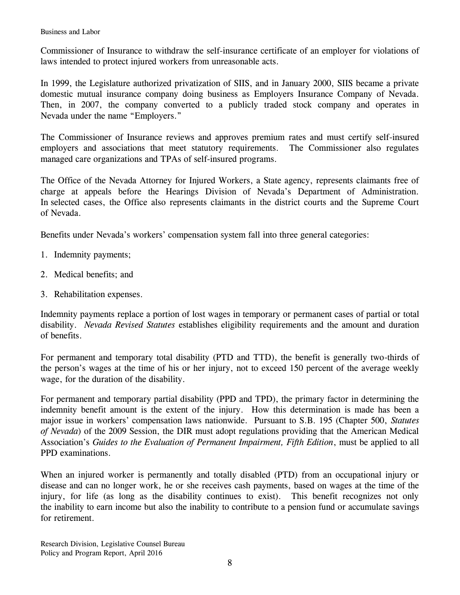Commissioner of Insurance to withdraw the self-insurance certificate of an employer for violations of laws intended to protect injured workers from unreasonable acts.

In 1999, the Legislature authorized privatization of SIIS, and in January 2000, SIIS became a private domestic mutual insurance company doing business as Employers Insurance Company of Nevada. Then, in 2007, the company converted to a publicly traded stock company and operates in Nevada under the name "Employers."

The Commissioner of Insurance reviews and approves premium rates and must certify self-insured employers and associations that meet statutory requirements. The Commissioner also regulates managed care organizations and TPAs of self-insured programs.

The Office of the Nevada Attorney for Injured Workers, a State agency, represents claimants free of charge at appeals before the Hearings Division of Nevada's Department of Administration. In selected cases, the Office also represents claimants in the district courts and the Supreme Court of Nevada.

Benefits under Nevada's workers' compensation system fall into three general categories:

- 1. Indemnity payments;
- 2. Medical benefits; and
- 3. Rehabilitation expenses.

Indemnity payments replace a portion of lost wages in temporary or permanent cases of partial or total disability. *Nevada Revised Statutes* establishes eligibility requirements and the amount and duration of benefits.

For permanent and temporary total disability (PTD and TTD), the benefit is generally two-thirds of the person's wages at the time of his or her injury, not to exceed 150 percent of the average weekly wage, for the duration of the disability.

For permanent and temporary partial disability (PPD and TPD), the primary factor in determining the indemnity benefit amount is the extent of the injury. How this determination is made has been a major issue in workers' compensation laws nationwide. Pursuant to S.B. 195 (Chapter 500, *Statutes of Nevada*) of the 2009 Session, the DIR must adopt regulations providing that the American Medical Association's *Guides to the Evaluation of Permanent Impairment, Fifth Edition*, must be applied to all PPD examinations.

When an injured worker is permanently and totally disabled (PTD) from an occupational injury or disease and can no longer work, he or she receives cash payments, based on wages at the time of the injury, for life (as long as the disability continues to exist). This benefit recognizes not only the inability to earn income but also the inability to contribute to a pension fund or accumulate savings for retirement.

Research Division, Legislative Counsel Bureau Policy and Program Report, April 2016